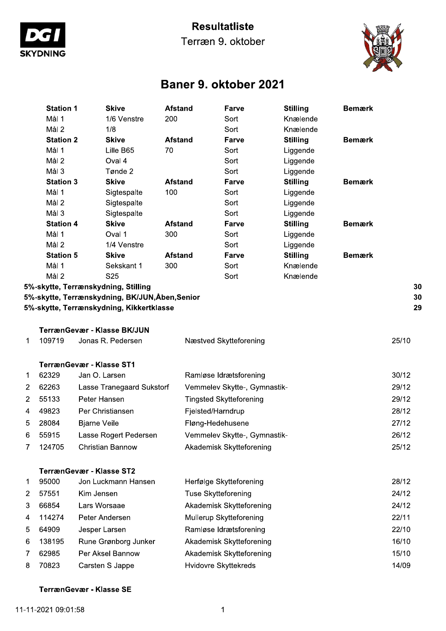

### **Resultatliste**

Terræn 9. oktober



# Baner 9. oktober 2021

|                | <b>Station 1</b> | <b>Skive</b>                                                                           | <b>Afstand</b> |                            | Farve                          | <b>Stilling</b> | <b>Bemærk</b> |       |
|----------------|------------------|----------------------------------------------------------------------------------------|----------------|----------------------------|--------------------------------|-----------------|---------------|-------|
|                | Mål 1            | 1/6 Venstre                                                                            | 200            |                            | Sort                           | Knælende        |               |       |
|                | Mål <sub>2</sub> | 1/8                                                                                    |                |                            | Sort                           | Knælende        |               |       |
|                | <b>Station 2</b> | <b>Skive</b>                                                                           | <b>Afstand</b> |                            | Farve                          | <b>Stilling</b> | <b>Bemærk</b> |       |
|                | Mål 1            | Lille B65                                                                              | 70             |                            | Sort                           | Liggende        |               |       |
|                | Mål <sub>2</sub> | Oval 4                                                                                 |                |                            | Sort                           | Liggende        |               |       |
|                | Mål 3            | Tønde 2                                                                                |                |                            | Sort                           | Liggende        |               |       |
|                | <b>Station 3</b> | <b>Skive</b>                                                                           | <b>Afstand</b> |                            | Farve                          | <b>Stilling</b> | <b>Bemærk</b> |       |
|                | Mål 1            | Sigtespalte                                                                            | 100            |                            | Sort                           | Liggende        |               |       |
|                | Mål <sub>2</sub> | Sigtespalte                                                                            |                |                            | Sort                           | Liggende        |               |       |
|                | Mål 3            | Sigtespalte                                                                            |                |                            | Sort                           | Liggende        |               |       |
|                | <b>Station 4</b> | <b>Skive</b>                                                                           | <b>Afstand</b> |                            | Farve                          | <b>Stilling</b> | <b>Bemærk</b> |       |
|                | Mål 1            | Oval 1                                                                                 | 300            |                            | Sort                           | Liggende        |               |       |
|                | Mål <sub>2</sub> | 1/4 Venstre                                                                            |                |                            | Sort                           | Liggende        |               |       |
|                | <b>Station 5</b> | <b>Skive</b>                                                                           | <b>Afstand</b> |                            | Farve                          | <b>Stilling</b> | <b>Bemærk</b> |       |
|                | Mål 1            | Sekskant 1                                                                             | 300            |                            | Sort                           | Knælende        |               |       |
|                | Mål 2            | S <sub>25</sub>                                                                        |                |                            | Sort                           | Knælende        |               | 30    |
|                |                  | 5%-skytte, Terrænskydning, Stilling<br>5%-skytte, Terrænskydning, BK/JUN, Åben, Senior |                |                            |                                |                 |               | 30    |
|                |                  | 5%-skytte, Terrænskydning, Kikkertklasse                                               |                |                            |                                |                 |               | 29    |
|                |                  |                                                                                        |                |                            |                                |                 |               |       |
|                |                  | TerrænGevær - Klasse BK/JUN                                                            |                |                            |                                |                 |               |       |
| 1              | 109719           | Jonas R. Pedersen                                                                      |                |                            | Næstved Skytteforening         |                 |               | 25/10 |
|                |                  | <b>TerrænGevær - Klasse ST1</b>                                                        |                |                            |                                |                 |               |       |
| 1              | 62329            | Jan O. Larsen                                                                          |                |                            | Ramløse Idrætsforening         |                 |               | 30/12 |
| $\overline{2}$ | 62263            | Lasse Tranegaard Sukstorf                                                              |                |                            | Vemmelev Skytte-, Gymnastik-   |                 |               | 29/12 |
| $\overline{c}$ | 55133            | Peter Hansen                                                                           |                |                            | <b>Tingsted Skytteforening</b> |                 |               | 29/12 |
| 4              | 49823            | Per Christiansen                                                                       |                | Fjelsted/Harndrup          |                                |                 |               | 28/12 |
| 5              | 28084            | <b>Bjarne Veile</b>                                                                    |                | Fløng-Hedehusene           |                                |                 |               | 27/12 |
| 6              | 55915            | Lasse Rogert Pedersen                                                                  |                |                            | Vemmelev Skytte-, Gymnastik-   |                 |               | 26/12 |
| 7              | 124705           | <b>Christian Bannow</b>                                                                |                |                            | Akademisk Skytteforening       |                 |               | 25/12 |
|                |                  |                                                                                        |                |                            |                                |                 |               |       |
|                | 95000            | <b>TerrænGevær - Klasse ST2</b><br>Jon Luckmann Hansen                                 |                |                            |                                |                 |               | 28/12 |
| 1              |                  |                                                                                        |                |                            | Herfølge Skytteforening        |                 |               |       |
| 2              | 57551            | Kim Jensen                                                                             |                | <b>Tuse Skytteforening</b> |                                |                 |               | 24/12 |
| 3              | 66854            | Lars Worsaae                                                                           |                |                            | Akademisk Skytteforening       |                 |               | 24/12 |
| 4              | 114274           | Peter Andersen                                                                         |                |                            | Mullerup Skytteforening        |                 |               | 22/11 |
| 5              | 64909            | Jesper Larsen                                                                          |                |                            | Ramløse Idrætsforening         |                 |               | 22/10 |
| 6              | 138195           | Rune Grønborg Junker                                                                   |                |                            | Akademisk Skytteforening       |                 |               | 16/10 |
| 7              | 62985            | Per Aksel Bannow                                                                       |                |                            | Akademisk Skytteforening       |                 |               | 15/10 |
| 8              | 70823            | Carsten S Jappe                                                                        |                |                            | Hvidovre Skyttekreds           |                 |               | 14/09 |
|                |                  |                                                                                        |                |                            |                                |                 |               |       |

#### TerrænGevær - Klasse SE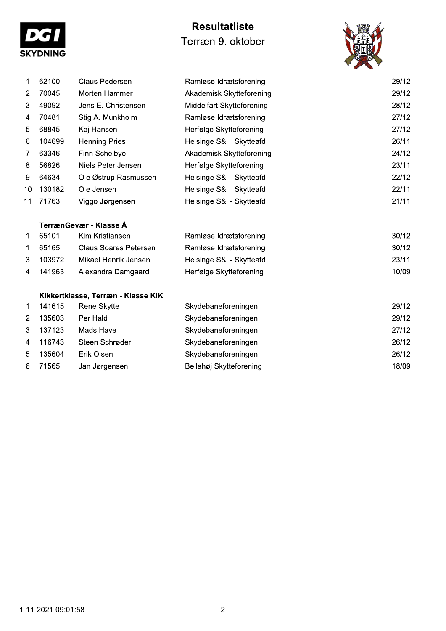| <b>SKYDNING</b> |  |
|-----------------|--|

## **Resultatliste** Terræn 9. oktober



| 1              | 62100  | Claus Pedersen                     | Ramløse Idrætsforening    | 29/12 |
|----------------|--------|------------------------------------|---------------------------|-------|
| 2              | 70045  | Morten Hammer                      | Akademisk Skytteforening  | 29/12 |
| 3              | 49092  | Jens E. Christensen                | Middelfart Skytteforening | 28/12 |
| 4              | 70481  | Stig A. Munkholm                   | Ramløse Idrætsforening    | 27/12 |
| 5              | 68845  | Kaj Hansen                         | Herfølge Skytteforening   | 27/12 |
| 6              | 104699 | <b>Henning Pries</b>               | Helsinge S&i - Skytteafd. | 26/11 |
| 7              | 63346  | Finn Scheibye                      | Akademisk Skytteforening  | 24/12 |
| 8              | 56826  | Niels Peter Jensen                 | Herfølge Skytteforening   | 23/11 |
| 9              | 64634  | Ole Østrup Rasmussen               | Helsinge S&i - Skytteafd. | 22/12 |
| 10             | 130182 | Ole Jensen                         | Helsinge S&i - Skytteafd. | 22/11 |
| 11             | 71763  | Viggo Jørgensen                    | Helsinge S&i - Skytteafd. | 21/11 |
|                |        |                                    |                           |       |
|                |        | TerrænGevær - Klasse Å             |                           |       |
| 1              | 65101  | Kim Kristiansen                    | Ramløse Idrætsforening    | 30/12 |
| 1              | 65165  | <b>Claus Soares Petersen</b>       | Ramløse Idrætsforening    | 30/12 |
| 3              | 103972 | Mikael Henrik Jensen               | Helsinge S&i - Skytteafd. | 23/11 |
| 4              | 141963 | Alexandra Damgaard                 | Herfølge Skytteforening   | 10/09 |
|                |        |                                    |                           |       |
|                |        | Kikkertklasse, Terræn - Klasse KIK |                           |       |
| 1.             | 141615 | Rene Skytte                        | Skydebaneforeningen       | 29/12 |
| $\overline{2}$ | 135603 | Per Hald                           | Skydebaneforeningen       | 29/12 |
| 3              | 137123 | Mads Have                          | Skydebaneforeningen       | 27/12 |
| 4              | 116743 | Steen Schrøder                     | Skydebaneforeningen       | 26/12 |
| 5              | 135604 | Erik Olsen                         | Skydebaneforeningen       | 26/12 |
| 6              | 71565  | Jan Jørgensen                      | Bellahøj Skytteforening   | 18/09 |